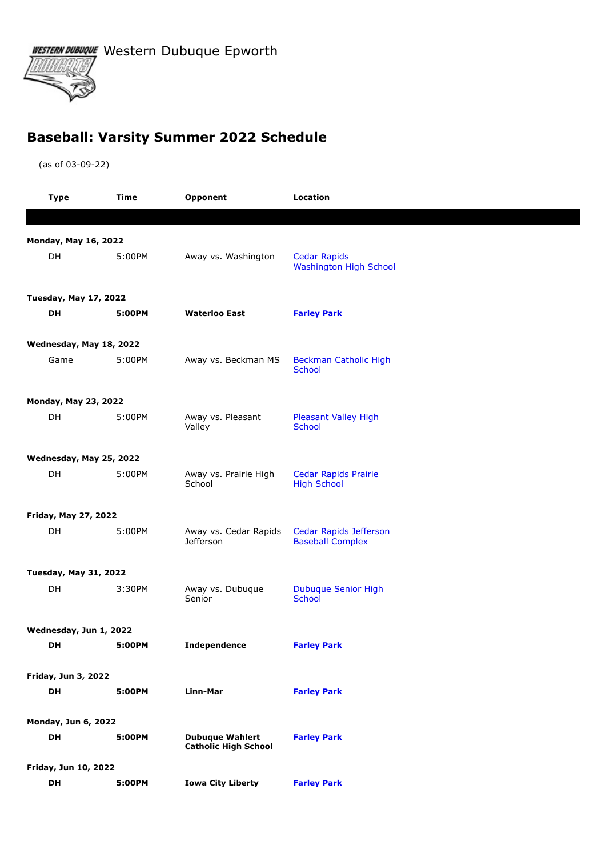WESTERN DUBUQUE Western Dubuque Epworth



## **Baseball: Varsity Summer 2022 Schedule**

(as of 03-09-22)

|                              | <b>Type</b>                 | Time   | Opponent                                              | Location                                             |  |  |  |  |
|------------------------------|-----------------------------|--------|-------------------------------------------------------|------------------------------------------------------|--|--|--|--|
|                              |                             |        |                                                       |                                                      |  |  |  |  |
| <b>Monday, May 16, 2022</b>  |                             |        |                                                       |                                                      |  |  |  |  |
|                              | DH                          | 5:00PM | Away vs. Washington                                   | <b>Cedar Rapids</b><br><b>Washington High School</b> |  |  |  |  |
| <b>Tuesday, May 17, 2022</b> |                             |        |                                                       |                                                      |  |  |  |  |
|                              | DH                          | 5:00PM | <b>Waterloo East</b>                                  | <b>Farley Park</b>                                   |  |  |  |  |
| Wednesday, May 18, 2022      |                             |        |                                                       |                                                      |  |  |  |  |
|                              | Game                        | 5:00PM | Away vs. Beckman MS                                   | <b>Beckman Catholic High</b><br><b>School</b>        |  |  |  |  |
| Monday, May 23, 2022         |                             |        |                                                       |                                                      |  |  |  |  |
|                              | DH                          | 5:00PM | Away vs. Pleasant<br>Valley                           | <b>Pleasant Valley High</b><br><b>School</b>         |  |  |  |  |
|                              | Wednesday, May 25, 2022     |        |                                                       |                                                      |  |  |  |  |
|                              | DH                          | 5:00PM | Away vs. Prairie High<br>School                       | <b>Cedar Rapids Prairie</b><br><b>High School</b>    |  |  |  |  |
|                              | <b>Friday, May 27, 2022</b> |        |                                                       |                                                      |  |  |  |  |
|                              | DH                          | 5:00PM | Away vs. Cedar Rapids<br>Jefferson                    | Cedar Rapids Jefferson<br><b>Baseball Complex</b>    |  |  |  |  |
| <b>Tuesday, May 31, 2022</b> |                             |        |                                                       |                                                      |  |  |  |  |
|                              | DH                          | 3:30PM | Away vs. Dubuque<br>Senior                            | Dubuque Senior High<br>School                        |  |  |  |  |
|                              | Wednesday, Jun 1, 2022      |        |                                                       |                                                      |  |  |  |  |
|                              | DH 5:00PM                   |        | Independence                                          | <b>Farley Park</b>                                   |  |  |  |  |
| Friday, Jun 3, 2022          |                             |        |                                                       |                                                      |  |  |  |  |
|                              | DH                          | 5:00PM | Linn-Mar                                              | <b>Farley Park</b>                                   |  |  |  |  |
|                              | <b>Monday, Jun 6, 2022</b>  |        |                                                       |                                                      |  |  |  |  |
|                              | DH                          | 5:00PM | <b>Dubuque Wahlert</b><br><b>Catholic High School</b> | <b>Farley Park</b>                                   |  |  |  |  |
| Friday, Jun 10, 2022         |                             |        |                                                       |                                                      |  |  |  |  |
|                              | DH                          | 5:00PM | <b>Iowa City Liberty</b>                              | <b>Farley Park</b>                                   |  |  |  |  |